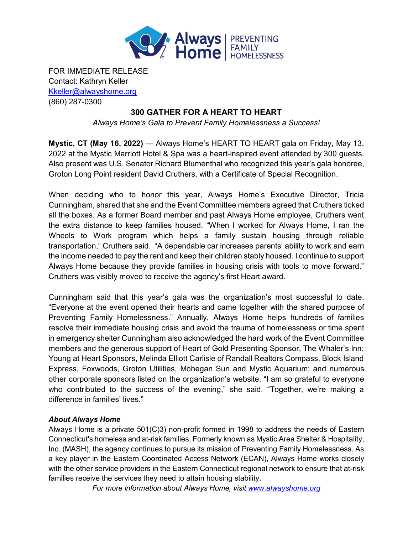

FOR IMMEDIATE RELEASE Contact: Kathryn Keller [Kkeller@alwayshome.org](mailto:Kkeller@alwayshome.org) (860) 287-0300

## **300 GATHER FOR A HEART TO HEART**

*Always Home's Gala to Prevent Family Homelessness a Success!*

**Mystic, CT (May 16, 2022)** — Always Home's HEART TO HEART gala on Friday, May 13, 2022 at the Mystic Marriott Hotel & Spa was a heart-inspired event attended by 300 guests. Also present was U.S. Senator Richard Blumenthal who recognized this year's gala honoree, Groton Long Point resident David Cruthers, with a Certificate of Special Recognition.

When deciding who to honor this year, Always Home's Executive Director, Tricia Cunningham, shared that she and the Event Committee members agreed that Cruthers ticked all the boxes. As a former Board member and past Always Home employee, Cruthers went the extra distance to keep families housed. "When I worked for Always Home, I ran the Wheels to Work program which helps a family sustain housing through reliable transportation," Cruthers said. "A dependable car increases parents' ability to work and earn the income needed to pay the rent and keep their children stably housed. I continue to support Always Home because they provide families in housing crisis with tools to move forward." Cruthers was visibly moved to receive the agency's first Heart award.

Cunningham said that this year's gala was the organization's most successful to date. "Everyone at the event opened their hearts and came together with the shared purpose of Preventing Family Homelessness." Annually, Always Home helps hundreds of families resolve their immediate housing crisis and avoid the trauma of homelessness or time spent in emergency shelter Cunningham also acknowledged the hard work of the Event Committee members and the generous support of Heart of Gold Presenting Sponsor, The Whaler's Inn; Young at Heart Sponsors, Melinda Elliott Carlisle of Randall Realtors Compass, Block Island Express, Foxwoods, Groton Utilities, Mohegan Sun and Mystic Aquarium; and numerous other corporate sponsors listed on the organization's website. "I am so grateful to everyone who contributed to the success of the evening," she said. "Together, we're making a difference in families' lives."

## *About Always Home*

Always Home is a private 501(C)3) non-profit formed in 1998 to address the needs of Eastern Connecticut's homeless and at-risk families. Formerly known as Mystic Area Shelter & Hospitality, Inc. (MASH), the agency continues to pursue its mission of Preventing Family Homelessness. As a key player in the Eastern Coordinated Access Network (ECAN), Always Home works closely with the other service providers in the Eastern Connecticut regional network to ensure that at-risk families receive the services they need to attain housing stability.

*For more information about Always Home, visit [www.alwayshome.org](http://www.alwayshome.org/)*